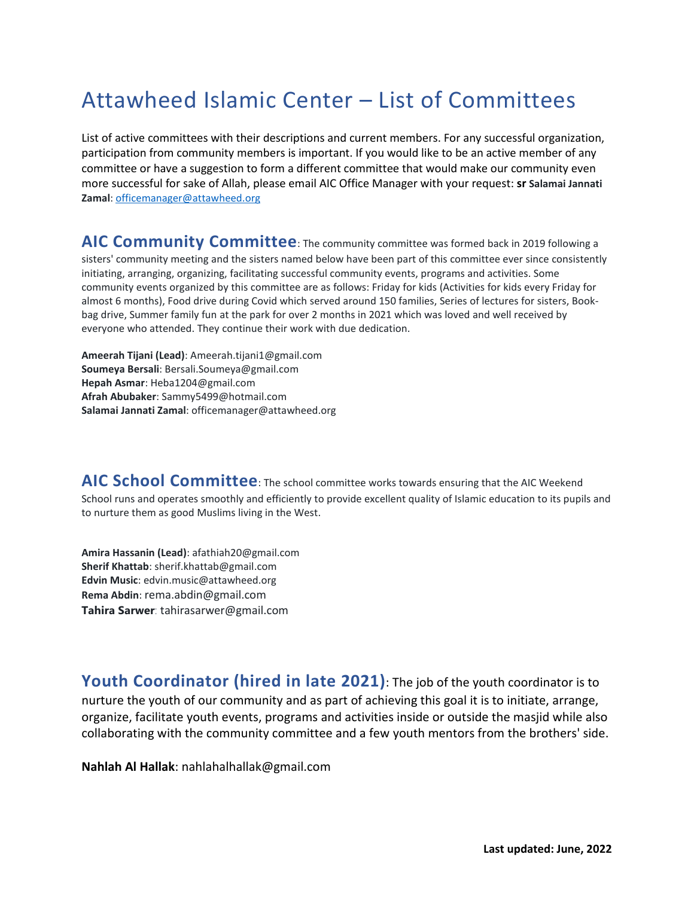## Attawheed Islamic Center – List of Committees

List of active committees with their descriptions and current members. For any successful organization, participation from community members is important. If you would like to be an active member of any committee or have a suggestion to form a different committee that would make our community even more successful for sake of Allah, please email AIC Office Manager with your request: **sr Salamai Jannati Zamal**: [officemanager@attawheed.org](mailto:officemanager@attawheed.org)

## **AIC Community Committee**: The community committee was formed back in 2019 following a sisters' community meeting and the sisters named below have been part of this committee ever since consistently initiating, arranging, organizing, facilitating successful community events, programs and activities. Some community events organized by this committee are as follows: Friday for kids (Activities for kids every Friday for almost 6 months), Food drive during Covid which served around 150 families, Series of lectures for sisters, Bookbag drive, Summer family fun at the park for over 2 months in 2021 which was loved and well received by everyone who attended. They continue their work with due dedication.

**Ameerah Tijani (Lead)**: Ameerah.tijani1@gmail.com **Soumeya Bersali**: Bersali.Soumeya@gmail.com **Hepah Asmar**: Heba1204@gmail.com **Afrah Abubaker**: Sammy5499@hotmail.com **Salamai Jannati Zamal**: officemanager@attawheed.org

**AIC School Committee**: The school committee works towards ensuring that the AIC Weekend School runs and operates smoothly and efficiently to provide excellent quality of Islamic education to its pupils and to nurture them as good Muslims living in the West.

**Amira Hassanin (Lead)**: afathiah20@gmail.com **Sherif Khattab**: sherif.khattab@gmail.com **Edvin Music**: edvin.music@attawheed.org **Rema Abdin**: [rema.abdin@gmail.com](mailto:rema.abdin@gmail.com) **Tahira Sarwer**: tahirasarwer@gmail.com

**Youth Coordinator (hired in late 2021)**: The job of the youth coordinator is to nurture the youth of our community and as part of achieving this goal it is to initiate, arrange, organize, facilitate youth events, programs and activities inside or outside the masjid while also collaborating with the community committee and a few youth mentors from the brothers' side.

**Nahlah Al Hallak**: nahlahalhallak@gmail.com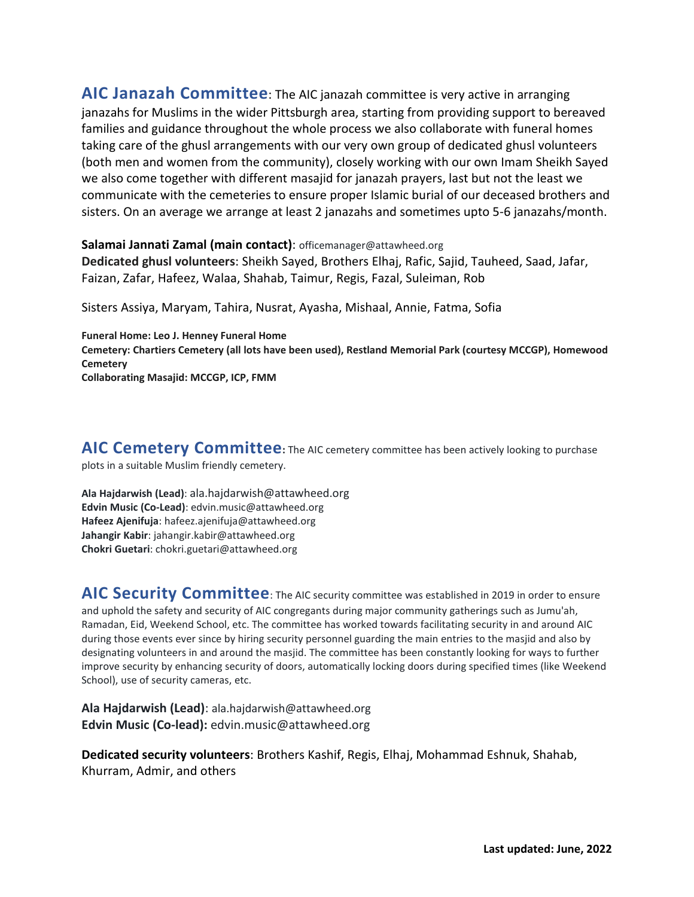**AIC Janazah Committee**: The AIC janazah committee is very active in arranging janazahs for Muslims in the wider Pittsburgh area, starting from providing support to bereaved families and guidance throughout the whole process we also collaborate with funeral homes taking care of the ghusl arrangements with our very own group of dedicated ghusl volunteers (both men and women from the community), closely working with our own Imam Sheikh Sayed we also come together with different masajid for janazah prayers, last but not the least we communicate with the cemeteries to ensure proper Islamic burial of our deceased brothers and sisters. On an average we arrange at least 2 janazahs and sometimes upto 5-6 janazahs/month.

**Salamai Jannati Zamal (main contact)**: officemanager@attawheed.org **Dedicated ghusl volunteers**: Sheikh Sayed, Brothers Elhaj, Rafic, Sajid, Tauheed, Saad, Jafar, Faizan, Zafar, Hafeez, Walaa, Shahab, Taimur, Regis, Fazal, Suleiman, Rob

Sisters Assiya, Maryam, Tahira, Nusrat, Ayasha, Mishaal, Annie, Fatma, Sofia

**Funeral Home: Leo J. Henney Funeral Home Cemetery: Chartiers Cemetery (all lots have been used), Restland Memorial Park (courtesy MCCGP), Homewood Cemetery Collaborating Masajid: MCCGP, ICP, FMM**

AIC Cemetery Committee: The AIC cemetery committee has been actively looking to purchase plots in a suitable Muslim friendly cemetery.

**Ala Hajdarwish (Lead)**: [ala.hajdarwish@attawheed.org](mailto:ala.hajdarwish@attawheed.org) **Edvin Music (Co-Lead)**: edvin.music@attawheed.org **Hafeez Ajenifuja**: hafeez.ajenifuja@attawheed.org **Jahangir Kabir**: jahangir.kabir@attawheed.org **Chokri Guetari**: chokri.guetari@attawheed.org

**AIC Security Committee**: The AIC security committee was established in 2019 in order to ensure and uphold the safety and security of AIC congregants during major community gatherings such as Jumu'ah, Ramadan, Eid, Weekend School, etc. The committee has worked towards facilitating security in and around AIC during those events ever since by hiring security personnel guarding the main entries to the masjid and also by designating volunteers in and around the masjid. The committee has been constantly looking for ways to further improve security by enhancing security of doors, automatically locking doors during specified times (like Weekend School), use of security cameras, etc.

**Ala Hajdarwish (Lead)**: [ala.hajdarwish@attawheed.org](mailto:ala.hajdarwish@attawheed.org) **Edvin Music (Co-lead):** edvin.music@attawheed.org

**Dedicated security volunteers**: Brothers Kashif, Regis, Elhaj, Mohammad Eshnuk, Shahab, Khurram, Admir, and others